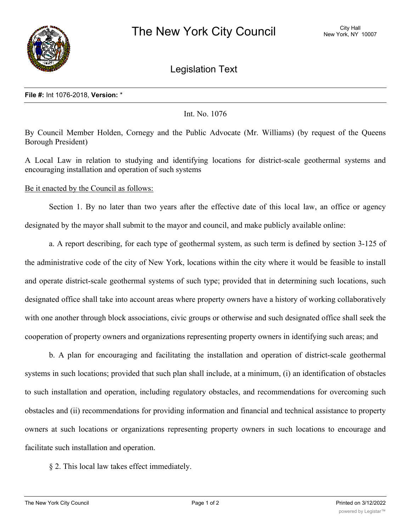

Legislation Text

## **File #:** Int 1076-2018, **Version:** \*

Int. No. 1076

By Council Member Holden, Cornegy and the Public Advocate (Mr. Williams) (by request of the Queens Borough President)

A Local Law in relation to studying and identifying locations for district-scale geothermal systems and encouraging installation and operation of such systems

Be it enacted by the Council as follows:

Section 1. By no later than two years after the effective date of this local law, an office or agency designated by the mayor shall submit to the mayor and council, and make publicly available online:

a. A report describing, for each type of geothermal system, as such term is defined by section 3-125 of the administrative code of the city of New York, locations within the city where it would be feasible to install and operate district-scale geothermal systems of such type; provided that in determining such locations, such designated office shall take into account areas where property owners have a history of working collaboratively with one another through block associations, civic groups or otherwise and such designated office shall seek the cooperation of property owners and organizations representing property owners in identifying such areas; and

b. A plan for encouraging and facilitating the installation and operation of district-scale geothermal systems in such locations; provided that such plan shall include, at a minimum, (i) an identification of obstacles to such installation and operation, including regulatory obstacles, and recommendations for overcoming such obstacles and (ii) recommendations for providing information and financial and technical assistance to property owners at such locations or organizations representing property owners in such locations to encourage and facilitate such installation and operation.

§ 2. This local law takes effect immediately.